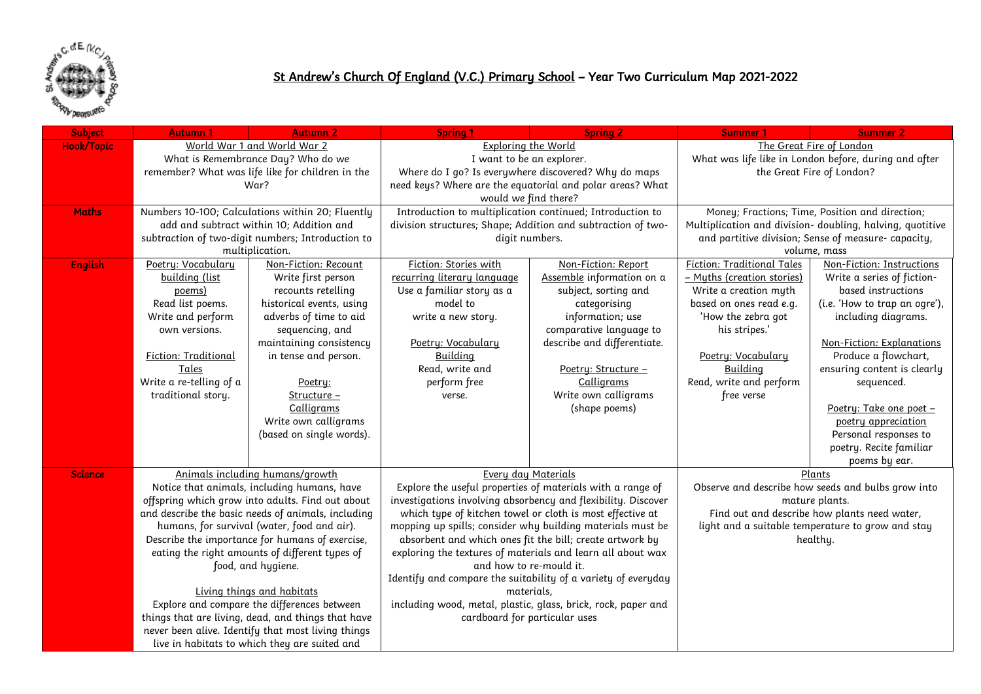

## St Andrew's Church Of England (V.C.) Primary School – Year Two Curriculum Map 2021-2022

| <b>Subject</b>    | Autumn 1                                                                                                                                                                                             | <b>Autumn 2</b>                                    | <b>Spring 1</b>                                                                                                                                                                                                                                                                                 | <b>Spring 2</b>                                           | Summer 1                                                      | Summer <sub>2</sub>                          |  |
|-------------------|------------------------------------------------------------------------------------------------------------------------------------------------------------------------------------------------------|----------------------------------------------------|-------------------------------------------------------------------------------------------------------------------------------------------------------------------------------------------------------------------------------------------------------------------------------------------------|-----------------------------------------------------------|---------------------------------------------------------------|----------------------------------------------|--|
| <b>Hook/Topic</b> |                                                                                                                                                                                                      | World War 1 and World War 2                        | <b>Exploring the World</b>                                                                                                                                                                                                                                                                      |                                                           | The Great Fire of London                                      |                                              |  |
|                   |                                                                                                                                                                                                      | What is Remembrance Day? Who do we                 | I want to be an explorer.                                                                                                                                                                                                                                                                       |                                                           | What was life like in London before, during and after         |                                              |  |
|                   |                                                                                                                                                                                                      | remember? What was life like for children in the   | Where do I go? Is everywhere discovered? Why do maps                                                                                                                                                                                                                                            |                                                           | the Great Fire of London?                                     |                                              |  |
|                   |                                                                                                                                                                                                      | War?                                               | need keys? Where are the equatorial and polar areas? What                                                                                                                                                                                                                                       |                                                           |                                                               |                                              |  |
|                   |                                                                                                                                                                                                      |                                                    | would we find there?                                                                                                                                                                                                                                                                            |                                                           |                                                               |                                              |  |
| <b>Maths</b>      |                                                                                                                                                                                                      | Numbers 10-100; Calculations within 20; Fluently   | Introduction to multiplication continued; Introduction to                                                                                                                                                                                                                                       |                                                           | Money; Fractions; Time, Position and direction;               |                                              |  |
|                   |                                                                                                                                                                                                      | add and subtract within 10; Addition and           | division structures; Shape; Addition and subtraction of two-                                                                                                                                                                                                                                    |                                                           | Multiplication and division- doubling, halving, quotitive     |                                              |  |
|                   |                                                                                                                                                                                                      | subtraction of two-digit numbers; Introduction to  | digit numbers.                                                                                                                                                                                                                                                                                  |                                                           | and partitive division; Sense of measure- capacity,           |                                              |  |
|                   |                                                                                                                                                                                                      | multiplication.                                    |                                                                                                                                                                                                                                                                                                 |                                                           | volume, mass                                                  |                                              |  |
| <b>English</b>    | Poetry: Vocabulary                                                                                                                                                                                   | Non-Fiction: Recount                               | Fiction: Stories with                                                                                                                                                                                                                                                                           | Non-Fiction: Report                                       | <b>Fiction: Traditional Tales</b>                             | Non-Fiction: Instructions                    |  |
|                   | building (list                                                                                                                                                                                       | Write first person                                 | recurring literary language                                                                                                                                                                                                                                                                     | Assemble information on a                                 | - Muths (creation stories)                                    | Write a series of fiction-                   |  |
|                   | poems)<br>Read list poems.                                                                                                                                                                           | recounts retelling                                 | Use a familiar story as a                                                                                                                                                                                                                                                                       | subject, sorting and                                      | Write a creation myth                                         | based instructions                           |  |
|                   |                                                                                                                                                                                                      | historical events, using                           | model to                                                                                                                                                                                                                                                                                        | categorising                                              | based on ones read e.g.                                       | (i.e. 'How to trap an ogre'),                |  |
|                   | Write and perform<br>own versions.                                                                                                                                                                   | adverbs of time to aid                             | write a new story.                                                                                                                                                                                                                                                                              | information; use<br>comparative language to               | 'How the zebra got<br>his stripes.'                           | including diagrams.                          |  |
|                   |                                                                                                                                                                                                      | sequencing, and<br>maintaining consistency         | Poetry: Vocabulary                                                                                                                                                                                                                                                                              | describe and differentiate.                               |                                                               | Non-Fiction: Explanations                    |  |
|                   | Fiction: Traditional                                                                                                                                                                                 | in tense and person.                               | Building                                                                                                                                                                                                                                                                                        |                                                           |                                                               | Produce a flowchart,                         |  |
|                   | Tales                                                                                                                                                                                                |                                                    | Read, write and                                                                                                                                                                                                                                                                                 | Poetry: Structure -                                       | Poetry: Vocabulary<br>Building                                | ensuring content is clearly                  |  |
|                   | Write a re-telling of a                                                                                                                                                                              |                                                    | perform free                                                                                                                                                                                                                                                                                    | Calligrams                                                | Read, write and perform                                       | sequenced.                                   |  |
|                   | traditional story.                                                                                                                                                                                   | Poetry:<br>Structure -                             | verse.                                                                                                                                                                                                                                                                                          | Write own calligrams                                      | free verse                                                    |                                              |  |
|                   |                                                                                                                                                                                                      | Calligrams                                         |                                                                                                                                                                                                                                                                                                 | (shape poems)                                             |                                                               | Poetry: Take one poet -                      |  |
|                   |                                                                                                                                                                                                      | Write own calligrams                               |                                                                                                                                                                                                                                                                                                 |                                                           |                                                               | poetry appreciation                          |  |
|                   |                                                                                                                                                                                                      | (based on single words).                           |                                                                                                                                                                                                                                                                                                 |                                                           |                                                               | Personal responses to                        |  |
|                   |                                                                                                                                                                                                      |                                                    |                                                                                                                                                                                                                                                                                                 |                                                           |                                                               | poetry. Recite familiar                      |  |
|                   |                                                                                                                                                                                                      |                                                    |                                                                                                                                                                                                                                                                                                 |                                                           |                                                               | poems by ear.                                |  |
| <b>Science</b>    |                                                                                                                                                                                                      | Animals including humans/growth                    | Every day Materials                                                                                                                                                                                                                                                                             |                                                           |                                                               | Plants                                       |  |
|                   |                                                                                                                                                                                                      | Notice that animals, including humans, have        | Explore the useful properties of materials with a range of                                                                                                                                                                                                                                      |                                                           | Observe and describe how seeds and bulbs grow into            |                                              |  |
|                   |                                                                                                                                                                                                      | offspring which grow into adults. Find out about   | investigations involving absorbency and flexibility. Discover                                                                                                                                                                                                                                   |                                                           | mature plants.                                                |                                              |  |
|                   |                                                                                                                                                                                                      | and describe the basic needs of animals, including |                                                                                                                                                                                                                                                                                                 | which type of kitchen towel or cloth is most effective at |                                                               | Find out and describe how plants need water, |  |
|                   | humans, for survival (water, food and air).<br>Describe the importance for humans of exercise,<br>eating the right amounts of different types of<br>food, and hygiene.<br>Living things and habitats |                                                    | mopping up spills; consider why building materials must be<br>absorbent and which ones fit the bill; create artwork by<br>exploring the textures of materials and learn all about wax<br>and how to re-mould it.<br>Identify and compare the suitability of a variety of everyday<br>materials, |                                                           | light and a suitable temperature to grow and stay<br>healthy. |                                              |  |
|                   |                                                                                                                                                                                                      |                                                    |                                                                                                                                                                                                                                                                                                 |                                                           |                                                               |                                              |  |
|                   |                                                                                                                                                                                                      |                                                    |                                                                                                                                                                                                                                                                                                 |                                                           |                                                               |                                              |  |
|                   |                                                                                                                                                                                                      |                                                    |                                                                                                                                                                                                                                                                                                 |                                                           |                                                               |                                              |  |
|                   |                                                                                                                                                                                                      |                                                    |                                                                                                                                                                                                                                                                                                 |                                                           |                                                               |                                              |  |
|                   |                                                                                                                                                                                                      |                                                    |                                                                                                                                                                                                                                                                                                 |                                                           |                                                               |                                              |  |
|                   | Explore and compare the differences between                                                                                                                                                          |                                                    | including wood, metal, plastic, glass, brick, rock, paper and                                                                                                                                                                                                                                   |                                                           |                                                               |                                              |  |
|                   | things that are living, dead, and things that have                                                                                                                                                   |                                                    | cardboard for particular uses                                                                                                                                                                                                                                                                   |                                                           |                                                               |                                              |  |
|                   |                                                                                                                                                                                                      | never been alive. Identify that most living things |                                                                                                                                                                                                                                                                                                 |                                                           |                                                               |                                              |  |
|                   | live in habitats to which they are suited and                                                                                                                                                        |                                                    |                                                                                                                                                                                                                                                                                                 |                                                           |                                                               |                                              |  |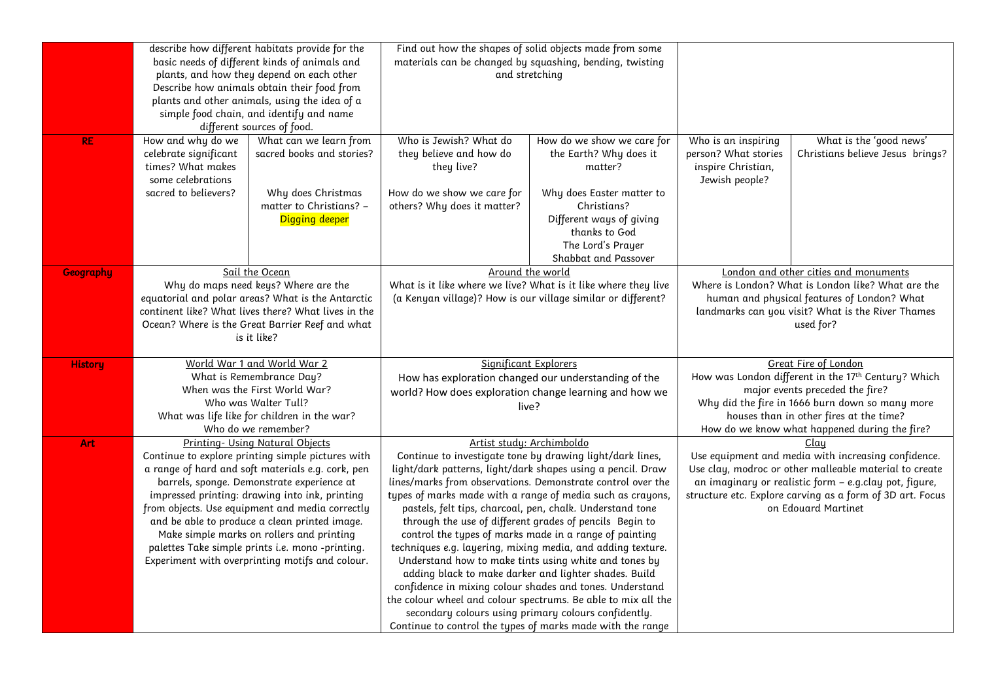|                  | describe how different habitats provide for the                                                                                                                            |                                                   | Find out how the shapes of solid objects made from some                                                                                 |                                          |                                                                                                                       |                                       |
|------------------|----------------------------------------------------------------------------------------------------------------------------------------------------------------------------|---------------------------------------------------|-----------------------------------------------------------------------------------------------------------------------------------------|------------------------------------------|-----------------------------------------------------------------------------------------------------------------------|---------------------------------------|
|                  | basic needs of different kinds of animals and                                                                                                                              |                                                   | materials can be changed by squashing, bending, twisting                                                                                |                                          |                                                                                                                       |                                       |
|                  | plants, and how they depend on each other                                                                                                                                  |                                                   | and stretching                                                                                                                          |                                          |                                                                                                                       |                                       |
|                  | Describe how animals obtain their food from<br>plants and other animals, using the idea of a<br>simple food chain, and identify and name<br>different sources of food.     |                                                   |                                                                                                                                         |                                          |                                                                                                                       |                                       |
|                  |                                                                                                                                                                            |                                                   |                                                                                                                                         |                                          |                                                                                                                       |                                       |
|                  |                                                                                                                                                                            |                                                   |                                                                                                                                         |                                          |                                                                                                                       |                                       |
|                  |                                                                                                                                                                            |                                                   |                                                                                                                                         |                                          |                                                                                                                       |                                       |
| <b>RE</b>        | How and why do we                                                                                                                                                          | What can we learn from                            | Who is Jewish? What do                                                                                                                  | How do we show we care for               | Who is an inspiring                                                                                                   | What is the 'good news'               |
|                  | celebrate significant                                                                                                                                                      | sacred books and stories?                         | they believe and how do                                                                                                                 | the Earth? Why does it                   | person? What stories                                                                                                  | Christians believe Jesus brings?      |
|                  | times? What makes<br>some celebrations                                                                                                                                     |                                                   | they live?                                                                                                                              | matter?                                  | inspire Christian,                                                                                                    |                                       |
|                  |                                                                                                                                                                            |                                                   |                                                                                                                                         |                                          | Jewish people?                                                                                                        |                                       |
|                  | sacred to believers?                                                                                                                                                       | Why does Christmas<br>matter to Christians? -     | How do we show we care for<br>others? Why does it matter?                                                                               | Why does Easter matter to<br>Christians? |                                                                                                                       |                                       |
|                  |                                                                                                                                                                            | <b>Digging deeper</b>                             |                                                                                                                                         | Different ways of giving                 |                                                                                                                       |                                       |
|                  |                                                                                                                                                                            |                                                   |                                                                                                                                         | thanks to God                            |                                                                                                                       |                                       |
|                  |                                                                                                                                                                            |                                                   |                                                                                                                                         | The Lord's Prayer                        |                                                                                                                       |                                       |
|                  |                                                                                                                                                                            |                                                   |                                                                                                                                         | Shabbat and Passover                     |                                                                                                                       |                                       |
| <b>Geography</b> |                                                                                                                                                                            | Sail the Ocean                                    | Around the world                                                                                                                        |                                          |                                                                                                                       | London and other cities and monuments |
|                  |                                                                                                                                                                            | Why do maps need keys? Where are the              | What is it like where we live? What is it like where they live                                                                          |                                          | Where is London? What is London like? What are the                                                                    |                                       |
|                  | equatorial and polar areas? What is the Antarctic<br>continent like? What lives there? What lives in the<br>Ocean? Where is the Great Barrier Reef and what<br>is it like? |                                                   | (a Kenyan village)? How is our village similar or different?                                                                            |                                          | human and physical features of London? What<br>landmarks can you visit? What is the River Thames<br>used for?         |                                       |
|                  |                                                                                                                                                                            |                                                   |                                                                                                                                         |                                          |                                                                                                                       |                                       |
|                  |                                                                                                                                                                            |                                                   |                                                                                                                                         |                                          |                                                                                                                       |                                       |
|                  |                                                                                                                                                                            |                                                   |                                                                                                                                         |                                          |                                                                                                                       |                                       |
|                  |                                                                                                                                                                            |                                                   |                                                                                                                                         |                                          |                                                                                                                       |                                       |
| <b>History</b>   | World War 1 and World War 2<br>What is Remembrance Day?<br>When was the First World War?                                                                                   |                                                   | Significant Explorers<br>How has exploration changed our understanding of the<br>world? How does exploration change learning and how we |                                          | <b>Great Fire of London</b><br>How was London different in the 17th Century? Which<br>major events preceded the fire? |                                       |
|                  |                                                                                                                                                                            |                                                   |                                                                                                                                         |                                          |                                                                                                                       |                                       |
|                  |                                                                                                                                                                            |                                                   |                                                                                                                                         |                                          |                                                                                                                       |                                       |
|                  |                                                                                                                                                                            | Who was Walter Tull?                              | live?                                                                                                                                   |                                          | Why did the fire in 1666 burn down so many more<br>houses than in other fires at the time?                            |                                       |
|                  |                                                                                                                                                                            | What was life like for children in the war?       |                                                                                                                                         |                                          |                                                                                                                       |                                       |
|                  |                                                                                                                                                                            | Who do we remember?                               |                                                                                                                                         |                                          | How do we know what happened during the fire?                                                                         |                                       |
| Art              |                                                                                                                                                                            | <b>Printing- Using Natural Objects</b>            | Artist study: Archimboldo                                                                                                               |                                          |                                                                                                                       | <u>Clay</u>                           |
|                  |                                                                                                                                                                            | Continue to explore printing simple pictures with | Continue to investigate tone by drawing light/dark lines,<br>light/dark patterns, light/dark shapes using a pencil. Draw                |                                          | Use equipment and media with increasing confidence.<br>Use clay, modroc or other malleable material to create         |                                       |
|                  | a range of hard and soft materials e.g. cork, pen                                                                                                                          |                                                   | lines/marks from observations. Demonstrate control over the                                                                             |                                          | an imaginary or realistic form - e.g.clay pot, figure,                                                                |                                       |
|                  | barrels, sponge. Demonstrate experience at<br>impressed printing: drawing into ink, printing                                                                               |                                                   | types of marks made with a range of media such as crayons,                                                                              |                                          | structure etc. Explore carving as a form of 3D art. Focus                                                             |                                       |
|                  | from objects. Use equipment and media correctly                                                                                                                            |                                                   | pastels, felt tips, charcoal, pen, chalk. Understand tone                                                                               |                                          |                                                                                                                       | on Edouard Martinet                   |
|                  | and be able to produce a clean printed image.                                                                                                                              |                                                   | through the use of different grades of pencils Begin to                                                                                 |                                          |                                                                                                                       |                                       |
|                  | Make simple marks on rollers and printing                                                                                                                                  |                                                   | control the types of marks made in a range of painting                                                                                  |                                          |                                                                                                                       |                                       |
|                  | palettes Take simple prints i.e. mono -printing.                                                                                                                           |                                                   | techniques e.g. layering, mixing media, and adding texture.                                                                             |                                          |                                                                                                                       |                                       |
|                  | Experiment with overprinting motifs and colour.                                                                                                                            |                                                   | Understand how to make tints using white and tones by                                                                                   |                                          |                                                                                                                       |                                       |
|                  |                                                                                                                                                                            |                                                   | adding black to make darker and lighter shades. Build                                                                                   |                                          |                                                                                                                       |                                       |
|                  |                                                                                                                                                                            |                                                   | confidence in mixing colour shades and tones. Understand                                                                                |                                          |                                                                                                                       |                                       |
|                  |                                                                                                                                                                            |                                                   | the colour wheel and colour spectrums. Be able to mix all the                                                                           |                                          |                                                                                                                       |                                       |
|                  |                                                                                                                                                                            |                                                   | secondary colours using primary colours confidently.                                                                                    |                                          |                                                                                                                       |                                       |
|                  |                                                                                                                                                                            |                                                   | Continue to control the types of marks made with the range                                                                              |                                          |                                                                                                                       |                                       |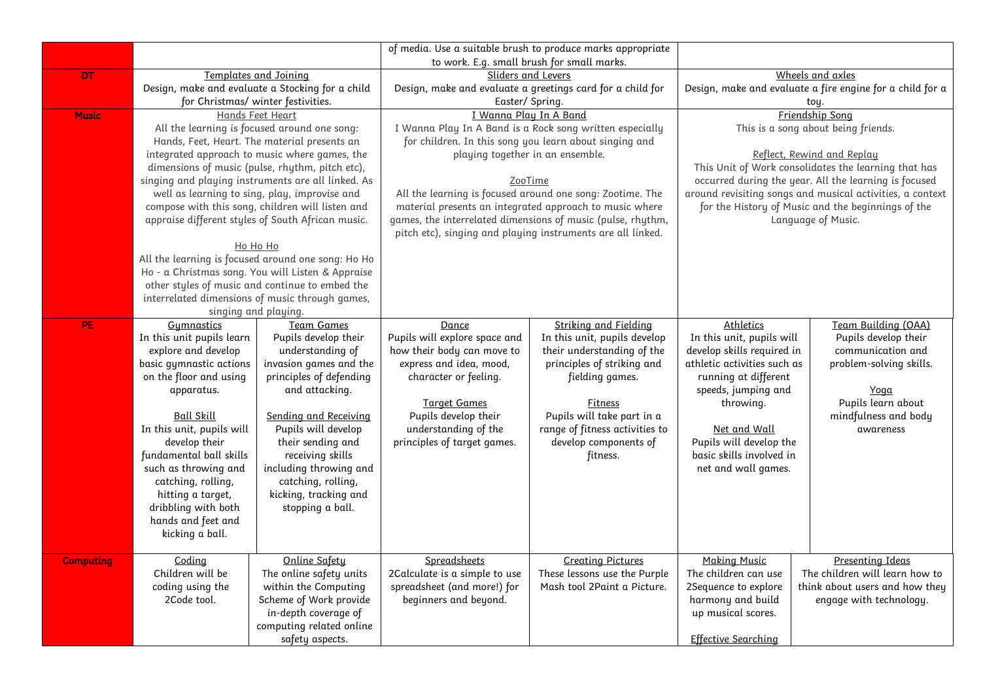|                  |                                              |                                                                                                      | of media. Use a suitable brush to produce marks appropriate      |                                           |                                                                                                                                             |                                |  |
|------------------|----------------------------------------------|------------------------------------------------------------------------------------------------------|------------------------------------------------------------------|-------------------------------------------|---------------------------------------------------------------------------------------------------------------------------------------------|--------------------------------|--|
| <b>DT</b>        |                                              | <b>Templates and Joining</b>                                                                         | to work. E.g. small brush for small marks.<br>Sliders and Levers |                                           | Wheels and axles                                                                                                                            |                                |  |
|                  |                                              | Design, make and evaluate a Stocking for a child                                                     | Design, make and evaluate a greetings card for a child for       |                                           | Design, make and evaluate a fire engine for a child for a                                                                                   |                                |  |
|                  |                                              | for Christmas/ winter festivities.                                                                   |                                                                  | Easter/ Spring.                           |                                                                                                                                             | toy.                           |  |
| <b>Music</b>     |                                              | Hands Feet Heart                                                                                     |                                                                  | I Wanna Play In A Band<br>Friendship Song |                                                                                                                                             |                                |  |
|                  | All the learning is focused around one song: |                                                                                                      | I Wanna Play In A Band is a Rock song written especially         |                                           | This is a song about being friends.                                                                                                         |                                |  |
|                  | Hands, Feet, Heart. The material presents an |                                                                                                      | for children. In this song you learn about singing and           |                                           |                                                                                                                                             |                                |  |
|                  |                                              | integrated approach to music where games, the                                                        | playing together in an ensemble.<br>ZooTime                      |                                           | Reflect, Rewind and Replay<br>This Unit of Work consolidates the learning that has<br>occurred during the year. All the learning is focused |                                |  |
|                  |                                              | dimensions of music (pulse, rhythm, pitch etc),                                                      |                                                                  |                                           |                                                                                                                                             |                                |  |
|                  |                                              | singing and playing instruments are all linked. As                                                   |                                                                  |                                           |                                                                                                                                             |                                |  |
|                  |                                              | well as learning to sing, play, improvise and                                                        | All the learning is focused around one song: Zootime. The        |                                           | around revisiting songs and musical activities, a context                                                                                   |                                |  |
|                  |                                              | compose with this song, children will listen and                                                     | material presents an integrated approach to music where          |                                           | for the History of Music and the beginnings of the                                                                                          |                                |  |
|                  |                                              | appraise different styles of South African music.                                                    | games, the interrelated dimensions of music (pulse, rhythm,      |                                           | Language of Music.                                                                                                                          |                                |  |
|                  |                                              |                                                                                                      | pitch etc), singing and playing instruments are all linked.      |                                           |                                                                                                                                             |                                |  |
|                  |                                              | Ho Ho Ho                                                                                             |                                                                  |                                           |                                                                                                                                             |                                |  |
|                  |                                              | All the learning is focused around one song: Ho Ho                                                   |                                                                  |                                           |                                                                                                                                             |                                |  |
|                  |                                              | Ho - a Christmas song. You will Listen & Appraise<br>other styles of music and continue to embed the |                                                                  |                                           |                                                                                                                                             |                                |  |
|                  |                                              | interrelated dimensions of music through games,                                                      |                                                                  |                                           |                                                                                                                                             |                                |  |
|                  |                                              | singing and playing.                                                                                 |                                                                  |                                           |                                                                                                                                             |                                |  |
| PE.              | Gumnastics                                   | <b>Team Games</b>                                                                                    | Dance                                                            | <b>Striking and Fielding</b>              | <b>Athletics</b>                                                                                                                            | Team Building (OAA)            |  |
|                  | In this unit pupils learn                    | Pupils develop their                                                                                 | Pupils will explore space and                                    | In this unit, pupils develop              | In this unit, pupils will                                                                                                                   | Pupils develop their           |  |
|                  | explore and develop                          | understanding of                                                                                     | how their body can move to                                       | their understanding of the                | develop skills required in                                                                                                                  | communication and              |  |
|                  | basic gymnastic actions                      | invasion games and the                                                                               | express and idea, mood,                                          | principles of striking and                | athletic activities such as                                                                                                                 | problem-solving skills.        |  |
|                  | on the floor and using                       | principles of defending                                                                              | character or feeling.                                            | fielding games.                           | running at different                                                                                                                        |                                |  |
|                  | apparatus.                                   | and attacking.                                                                                       |                                                                  |                                           | speeds, jumping and                                                                                                                         | <u>Yoαα</u>                    |  |
|                  |                                              |                                                                                                      | <b>Target Games</b>                                              | Fitness                                   | throwing.                                                                                                                                   | Pupils learn about             |  |
|                  | Ball Skill                                   | Sending and Receiving                                                                                | Pupils develop their                                             | Pupils will take part in a                |                                                                                                                                             | mindfulness and body           |  |
|                  | In this unit, pupils will                    | Pupils will develop                                                                                  | understanding of the                                             | range of fitness activities to            | <u>Net and Wall</u>                                                                                                                         | awareness                      |  |
|                  | develop their<br>fundamental ball skills     | their sending and<br>receiving skills                                                                | principles of target games.                                      | develop components of<br>fitness.         | Pupils will develop the<br>basic skills involved in                                                                                         |                                |  |
|                  | such as throwing and                         | including throwing and                                                                               |                                                                  |                                           | net and wall games.                                                                                                                         |                                |  |
|                  | catching, rolling,                           | catching, rolling,                                                                                   |                                                                  |                                           |                                                                                                                                             |                                |  |
|                  | hitting a target,                            | kicking, tracking and                                                                                |                                                                  |                                           |                                                                                                                                             |                                |  |
|                  | dribbling with both                          | stopping a ball.                                                                                     |                                                                  |                                           |                                                                                                                                             |                                |  |
|                  | hands and feet and                           |                                                                                                      |                                                                  |                                           |                                                                                                                                             |                                |  |
|                  | kicking a ball.                              |                                                                                                      |                                                                  |                                           |                                                                                                                                             |                                |  |
|                  |                                              |                                                                                                      |                                                                  |                                           |                                                                                                                                             |                                |  |
| <b>Computing</b> | Coding                                       | Online Safety                                                                                        | Spreadsheets                                                     | <b>Creating Pictures</b>                  | <b>Making Music</b>                                                                                                                         | Presenting Ideas               |  |
|                  | Children will be                             | The online safety units                                                                              | 2Calculate is a simple to use                                    | These lessons use the Purple              | The children can use                                                                                                                        | The children will learn how to |  |
|                  | coding using the                             | within the Computing                                                                                 | spreadsheet (and more!) for                                      | Mash tool 2Paint a Picture.               | 2Sequence to explore                                                                                                                        | think about users and how they |  |
|                  | 2Code tool.                                  | Scheme of Work provide<br>in-depth coverage of                                                       | beginners and beyond.                                            |                                           | harmony and build<br>up musical scores.                                                                                                     | engage with technology.        |  |
|                  |                                              | computing related online                                                                             |                                                                  |                                           |                                                                                                                                             |                                |  |
|                  |                                              | safety aspects.                                                                                      |                                                                  |                                           | <b>Effective Searching</b>                                                                                                                  |                                |  |